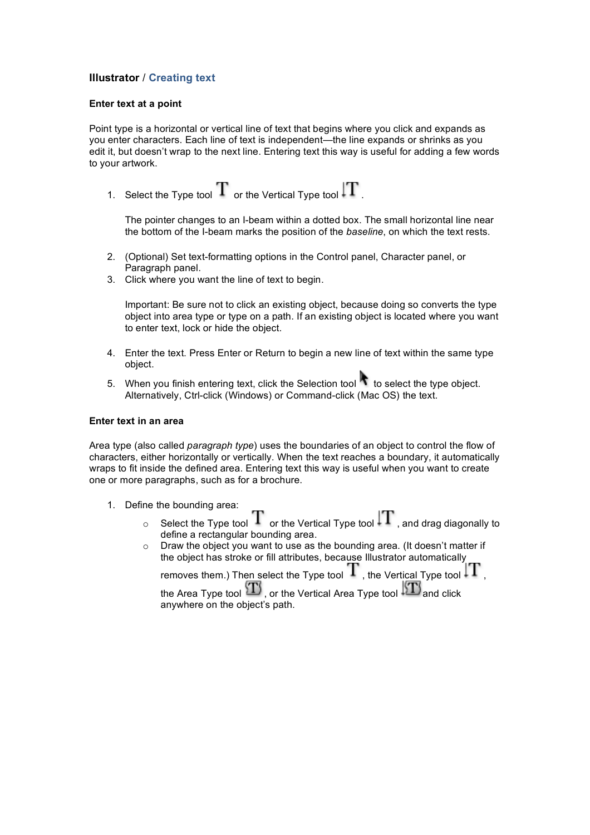# **Illustrator** / **Creating text**

## **Enter text at a point**

Point type is a horizontal or vertical line of text that begins where you click and expands as you enter characters. Each line of text is independent—the line expands or shrinks as you edit it, but doesn't wrap to the next line. Entering text this way is useful for adding a few words to your artwork.

1. Select the Type tool  $\rm T$  or the Vertical Type tool  $\rm \left\vert \rm T \right\vert$ 

The pointer changes to an I-beam within a dotted box. The small horizontal line near the bottom of the I-beam marks the position of the *baseline*, on which the text rests.

- 2. (Optional) Set text-formatting options in the Control panel, Character panel, or Paragraph panel.
- 3. Click where you want the line of text to begin.

Important: Be sure not to click an existing object, because doing so converts the type object into area type or type on a path. If an existing object is located where you want to enter text, lock or hide the object.

- 4. Enter the text. Press Enter or Return to begin a new line of text within the same type object.
- 5. When you finish entering text, click the Selection tool  $\bullet$  to select the type object. Alternatively, Ctrl-click (Windows) or Command-click (Mac OS) the text.

### **Enter text in an area**

Area type (also called *paragraph type*) uses the boundaries of an object to control the flow of characters, either horizontally or vertically. When the text reaches a boundary, it automatically wraps to fit inside the defined area. Entering text this way is useful when you want to create one or more paragraphs, such as for a brochure.

- 1. Define the bounding area:
	- $\sigma$  Select the Type tool  $T$  or the Vertical Type tool  $\left|T\right|$  , and drag diagonally to define a rectangular bounding area.
	- o Draw the object you want to use as the bounding area. (It doesn't matter if the object has stroke or fill attributes, because Illustrator automatically

removes them.) Then select the Type tool  $\Tau$  , the Vertical Type tool  $\ket{\Tau}$  ,

the Area Type tool  $\langle T \rangle$ , or the Vertical Area Type tool  $\langle T \rangle$  and click anywhere on the object's path.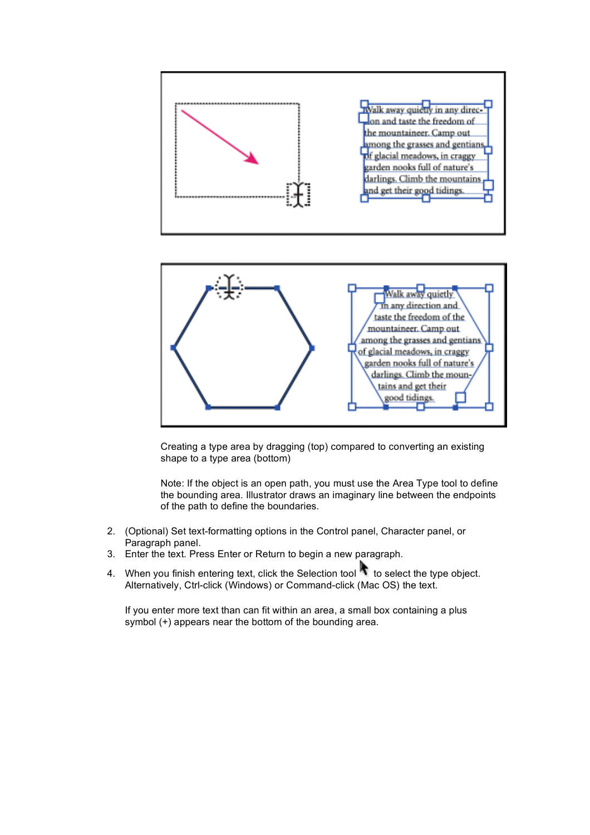



Creating a type area by dragging (top) compared to converting an existing shape to a type area (bottom)

Note: If the object is an open path, you must use the Area Type tool to define the bounding area. Illustrator draws an imaginary line between the endpoints of the path to define the boundaries.

- 2. (Optional) Set text-formatting options in the Control panel, Character panel, or Paragraph panel.
- 3. Enter the text. Press Enter or Return to begin a new paragraph.
- 4. When you finish entering text, click the Selection tool to select the type object. Alternatively, Ctrl-click (Windows) or Command-click (Mac OS) the text.

If you enter more text than can fit within an area, a small box containing a plus symbol (+) appears near the bottom of the bounding area.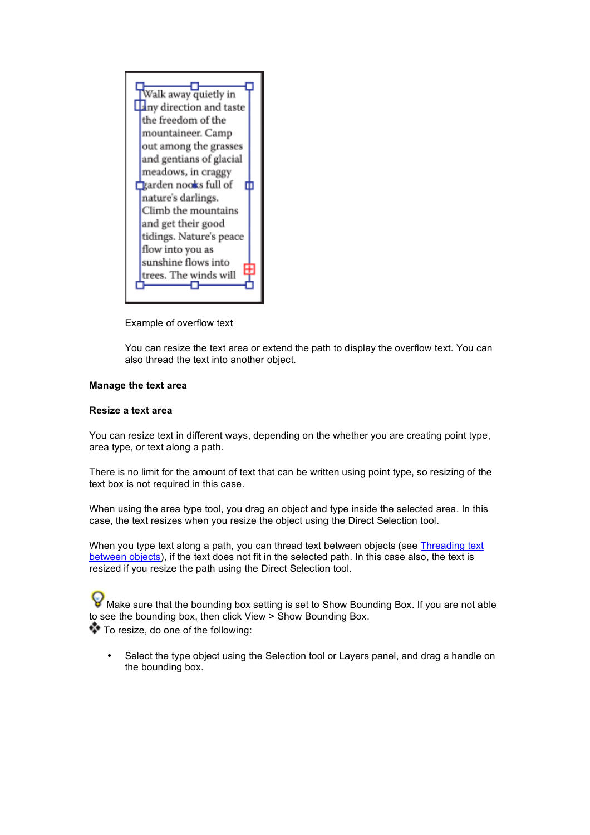

Example of overflow text

You can resize the text area or extend the path to display the overflow text. You can also thread the text into another object.

## **Manage the text area**

# **Resize a text area**

You can resize text in different ways, depending on the whether you are creating point type, area type, or text along a path.

There is no limit for the amount of text that can be written using point type, so resizing of the text box is not required in this case.

When using the area type tool, you drag an object and type inside the selected area. In this case, the text resizes when you resize the object using the Direct Selection tool.

When you type text along a path, you can thread text between objects (see Threading text between objects), if the text does not fit in the selected path. In this case also, the text is resized if you resize the path using the Direct Selection tool.

Make sure that the bounding box setting is set to Show Bounding Box. If you are not able to see the bounding box, then click View > Show Bounding Box.

To resize, do one of the following:

Select the type object using the Selection tool or Layers panel, and drag a handle on the bounding box.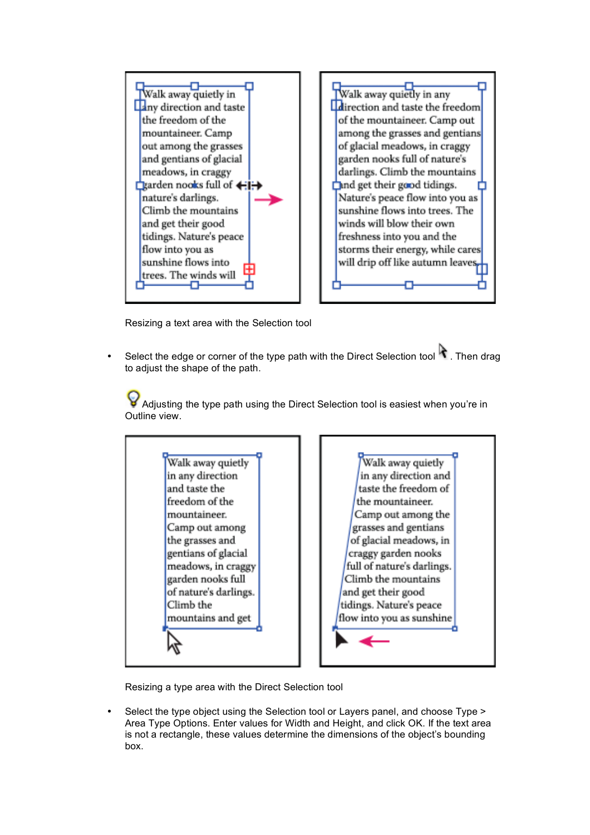



Resizing a text area with the Selection tool

Select the edge or corner of the type path with the Direct Selection tool  $\mathbf \cdot$  Then drag to adjust the shape of the path.

Adjusting the type path using the Direct Selection tool is easiest when you're in Outline view.

Walk away quietly in any direction and taste the freedom of the mountaineer. Camp out among the grasses and gentians of glacial meadows, in craggy garden nooks full of nature's darlings. Climb the mountains and get



Resizing a type area with the Direct Selection tool

• Select the type object using the Selection tool or Layers panel, and choose Type > Area Type Options. Enter values for Width and Height, and click OK. If the text area is not a rectangle, these values determine the dimensions of the object's bounding box.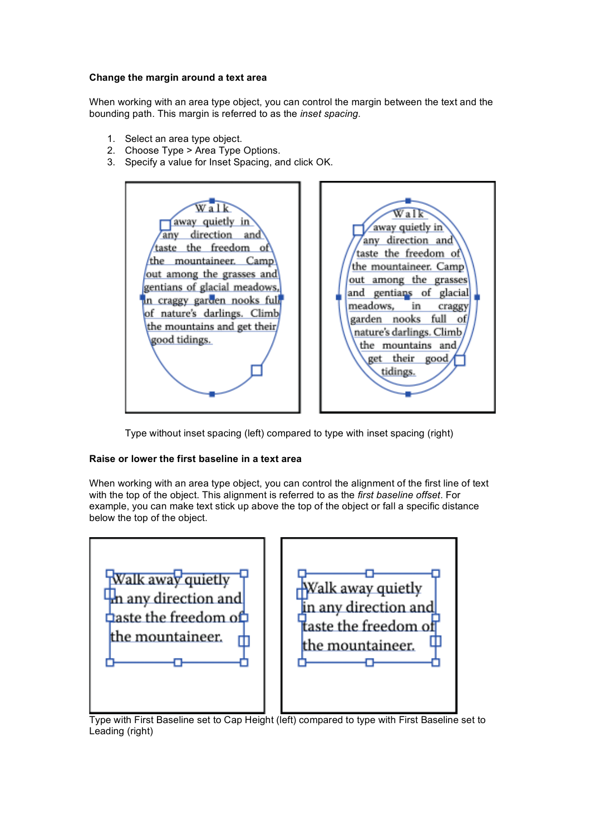### **Change the margin around a text area**

When working with an area type object, you can control the margin between the text and the bounding path. This margin is referred to as the *inset spacing*.

- 1. Select an area type object.
- 2. Choose Type > Area Type Options.
- 3. Specify a value for Inset Spacing, and click OK.



Type without inset spacing (left) compared to type with inset spacing (right)

## **Raise or lower the first baseline in a text area**

When working with an area type object, you can control the alignment of the first line of text with the top of the object. This alignment is referred to as the *first baseline offset*. For example, you can make text stick up above the top of the object or fall a specific distance below the top of the object.

| Walk away quietly                    | Walk away quietly    |
|--------------------------------------|----------------------|
| In any direction and                 | in any direction and |
| $\Delta$ aste the freedom o $\Delta$ | taste the freedom of |
| the mountaineer.                     | the mountaineer.     |

Type with First Baseline set to Cap Height (left) compared to type with First Baseline set to Leading (right)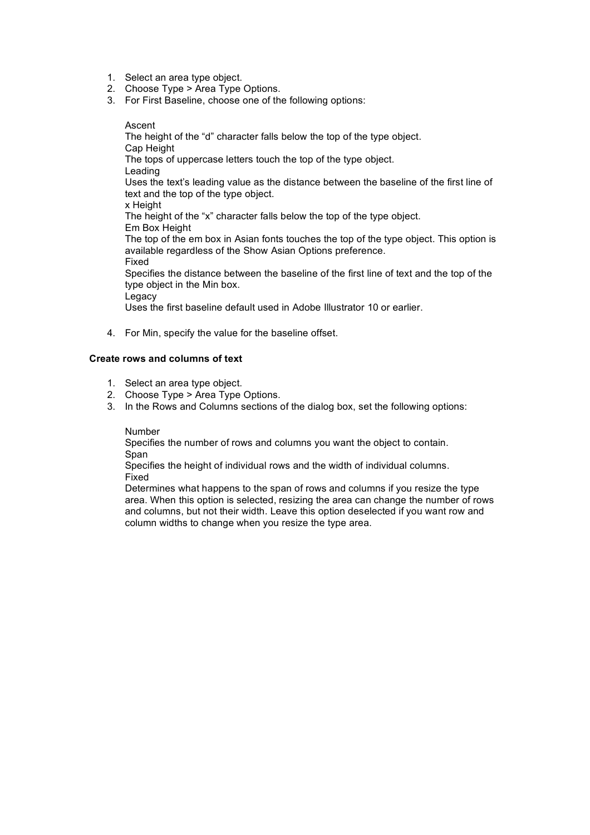- 1. Select an area type object.
- 2. Choose Type > Area Type Options.
- 3. For First Baseline, choose one of the following options:

#### Ascent

The height of the "d" character falls below the top of the type object. Cap Height The tops of uppercase letters touch the top of the type object. Leading Uses the text's leading value as the distance between the baseline of the first line of text and the top of the type object. x Height The height of the "x" character falls below the top of the type object. Em Box Height The top of the em box in Asian fonts touches the top of the type object. This option is available regardless of the Show Asian Options preference. Fixed Specifies the distance between the baseline of the first line of text and the top of the type object in the Min box. Legacy

Uses the first baseline default used in Adobe Illustrator 10 or earlier.

4. For Min, specify the value for the baseline offset.

## **Create rows and columns of text**

- 1. Select an area type object.
- 2. Choose Type > Area Type Options.
- 3. In the Rows and Columns sections of the dialog box, set the following options:

### Number

Specifies the number of rows and columns you want the object to contain. Span

Specifies the height of individual rows and the width of individual columns. Fixed

Determines what happens to the span of rows and columns if you resize the type area. When this option is selected, resizing the area can change the number of rows and columns, but not their width. Leave this option deselected if you want row and column widths to change when you resize the type area.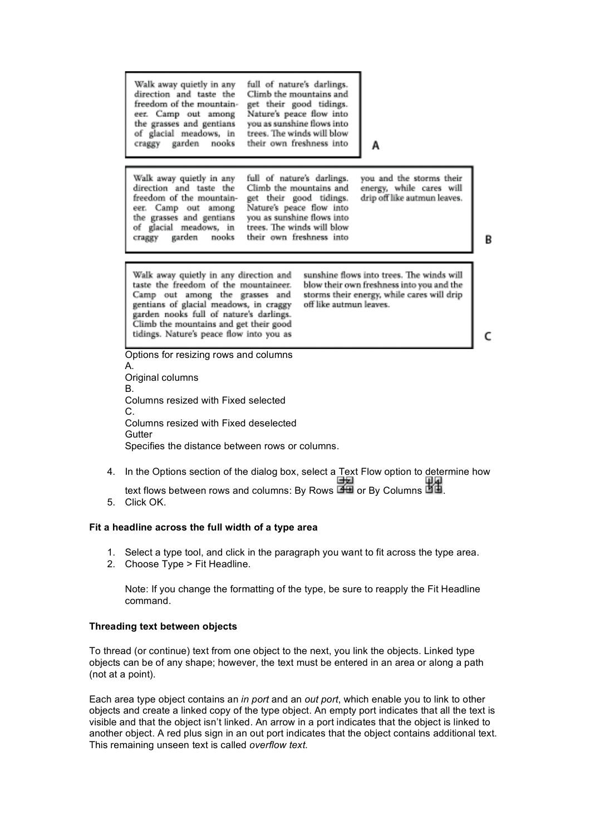|                                                                                                                                                                                                                          | Walk away quietly in any<br>full of nature's darlings.<br>direction and taste the<br>Climb the mountains and<br>freedom of the mountain-<br>get their good tidings.<br>Nature's peace flow into<br>eer. Camp out among<br>the grasses and gentians<br>you as sunshine flows into<br>of glacial meadows, in<br>trees. The winds will blow<br>garden<br>their own freshness into<br>craggy<br>nooks<br>А                                                                                    |   |  |
|--------------------------------------------------------------------------------------------------------------------------------------------------------------------------------------------------------------------------|-------------------------------------------------------------------------------------------------------------------------------------------------------------------------------------------------------------------------------------------------------------------------------------------------------------------------------------------------------------------------------------------------------------------------------------------------------------------------------------------|---|--|
|                                                                                                                                                                                                                          | Walk away quietly in any<br>you and the storms their<br>full of nature's darlings.<br>direction and taste the<br>Climb the mountains and<br>energy, while cares will<br>freedom of the mountain-<br>get their good tidings.<br>drip off like autmun leaves.<br>Nature's peace flow into<br>eer. Camp out among<br>the grasses and gentians<br>you as sunshine flows into<br>of glacial meadows, in<br>trees. The winds will blow<br>their own freshness into<br>garden<br>nooks<br>craggy | в |  |
|                                                                                                                                                                                                                          | sunshine flows into trees. The winds will<br>Walk away quietly in any direction and<br>taste the freedom of the mountaineer.<br>blow their own freshness into you and the<br>Camp out among the grasses and<br>storms their energy, while cares will drip<br>gentians of glacial meadows, in craggy<br>off like autmun leaves.<br>garden nooks full of nature's darlings.<br>Climb the mountains and get their good<br>tidings. Nature's peace flow into you as                           |   |  |
| Options for resizing rows and columns<br>А.<br>Original columns<br>В.<br>Columns resized with Fixed selected<br>C.<br>Columns resized with Fixed deselected<br>Gutter<br>Specifies the distance between rows or columns. |                                                                                                                                                                                                                                                                                                                                                                                                                                                                                           |   |  |
| 4.                                                                                                                                                                                                                       | In the Options section of the dialog box, select a Text Flow option to determine how<br>text flows between rows and columns: By Rows <b>EE</b> or By Columns <b>htm</b>                                                                                                                                                                                                                                                                                                                   |   |  |

в

5. Click OK.

# **Fit a headline across the full width of a type area**

- 1. Select a type tool, and click in the paragraph you want to fit across the type area.
- 2. Choose Type > Fit Headline.

Note: If you change the formatting of the type, be sure to reapply the Fit Headline command.

## **Threading text between objects**

To thread (or continue) text from one object to the next, you link the objects. Linked type objects can be of any shape; however, the text must be entered in an area or along a path (not at a point).

Each area type object contains an *in port* and an *out port*, which enable you to link to other objects and create a linked copy of the type object. An empty port indicates that all the text is visible and that the object isn't linked. An arrow in a port indicates that the object is linked to another object. A red plus sign in an out port indicates that the object contains additional text. This remaining unseen text is called *overflow text*.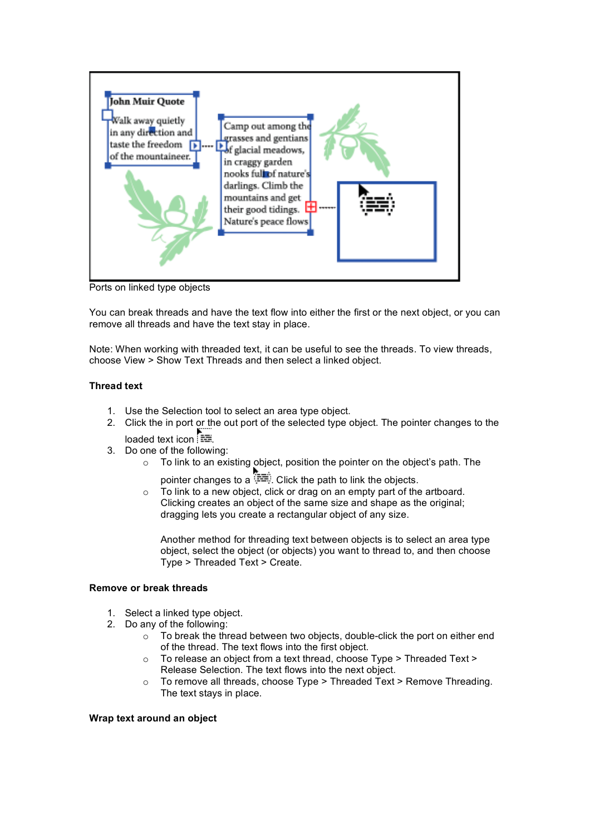

Ports on linked type objects

You can break threads and have the text flow into either the first or the next object, or you can remove all threads and have the text stay in place.

Note: When working with threaded text, it can be useful to see the threads. To view threads, choose View > Show Text Threads and then select a linked object.

## **Thread text**

- 1. Use the Selection tool to select an area type object.
- 2. Click the in port or the out port of the selected type object. The pointer changes to the loaded text icon .
- 3. Do one of the following:
	- o To link to an existing object, position the pointer on the object's path. The
		- pointer changes to a  $\overline{=}$ . Click the path to link the objects.
	- o To link to a new object, click or drag on an empty part of the artboard. Clicking creates an object of the same size and shape as the original; dragging lets you create a rectangular object of any size.

Another method for threading text between objects is to select an area type object, select the object (or objects) you want to thread to, and then choose Type > Threaded Text > Create.

### **Remove or break threads**

- 1. Select a linked type object.
- 2. Do any of the following:
	- o To break the thread between two objects, double-click the port on either end of the thread. The text flows into the first object.
	- o To release an object from a text thread, choose Type > Threaded Text > Release Selection. The text flows into the next object.
	- o To remove all threads, choose Type > Threaded Text > Remove Threading. The text stays in place.

### **Wrap text around an object**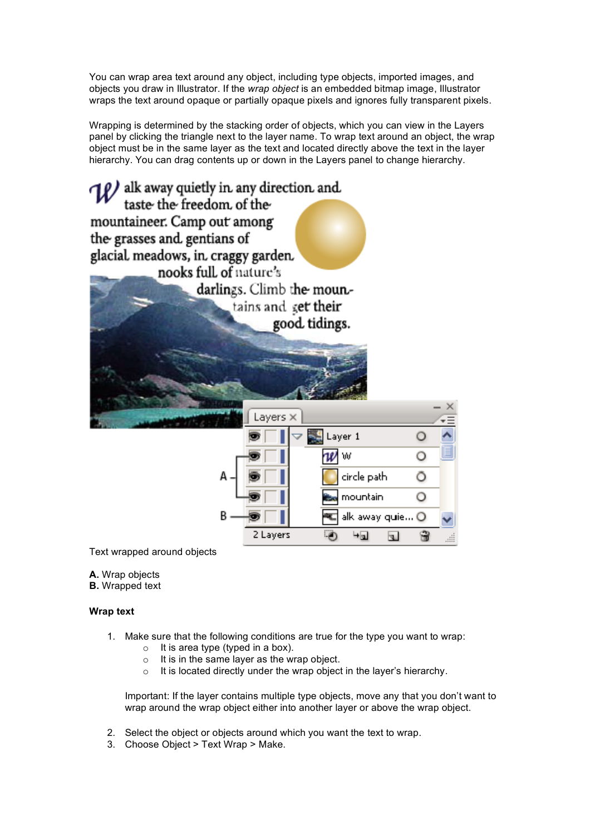You can wrap area text around any object, including type objects, imported images, and objects you draw in Illustrator. If the *wrap object* is an embedded bitmap image, Illustrator wraps the text around opaque or partially opaque pixels and ignores fully transparent pixels.

Wrapping is determined by the stacking order of objects, which you can view in the Layers panel by clicking the triangle next to the layer name. To wrap text around an object, the wrap object must be in the same layer as the text and located directly above the text in the layer hierarchy. You can drag contents up or down in the Layers panel to change hierarchy.



Text wrapped around objects

- **A.** Wrap objects
- **B.** Wrapped text

## **Wrap text**

- 1. Make sure that the following conditions are true for the type you want to wrap:
	- $\circ$  It is area type (typed in a box).
	- o It is in the same layer as the wrap object.
	- o It is located directly under the wrap object in the layer's hierarchy.

Important: If the layer contains multiple type objects, move any that you don't want to wrap around the wrap object either into another layer or above the wrap object.

- 2. Select the object or objects around which you want the text to wrap.
- 3. Choose Object > Text Wrap > Make.